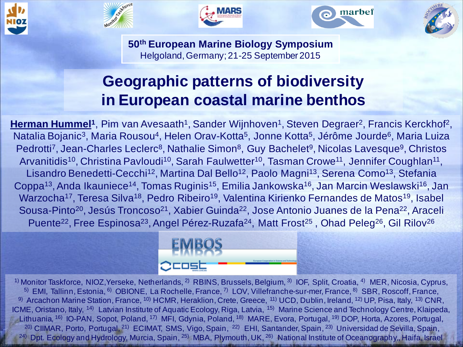









**50th European Marine Biology Symposium** Helgoland, Germany; 21-25 September 2015

### **Geographic patterns of biodiversity in European coastal marine benthos**

Herman Hummel<sup>1</sup>, Pim van Avesaath<sup>1</sup>, Sander Wijnhoven<sup>1</sup>, Steven Degraer<sup>2</sup>, Francis Kerckhof<sup>2</sup>, Natalia Bojanic<sup>3</sup>, Maria Rousou<sup>4</sup>, Helen Orav-Kotta<sup>5</sup>, Jonne Kotta<sup>5</sup>, Jérôme Jourde<sup>6</sup>, Maria Luiza Pedrotti<sup>7</sup>, Jean-Charles Leclerc<sup>8</sup>, Nathalie Simon<sup>8</sup>, Guy Bachelet<sup>9</sup>, Nicolas Lavesque<sup>9</sup>, Christos Arvanitidis<sup>10</sup>, Christina Pavloudi<sup>10</sup>, Sarah Faulwetter<sup>10</sup>, Tasman Crowe<sup>11</sup>, Jennifer Coughlan<sup>11</sup>, Lisandro Benedetti-Cecchi<sup>12</sup>, Martina Dal Bello<sup>12</sup>, Paolo Magni<sup>13</sup>, Serena Como<sup>13</sup>, Stefania Coppa<sup>13</sup>, Anda Ikauniece<sup>14</sup>, Tomas Ruginis<sup>15</sup>, Emilia Jankowska<sup>16</sup>, Jan Marcin Weslawski<sup>16</sup>, Jan Warzocha<sup>17</sup>, Teresa Silva<sup>18</sup>, Pedro Ribeiro<sup>19</sup>, Valentina Kirienko Fernandes de Matos<sup>19</sup>, Isabel Sousa-Pinto<sup>20</sup>, Jesús Troncoso<sup>21</sup>, Xabier Guinda<sup>22</sup>, Jose Antonio Juanes de la Pena<sup>22</sup>, Araceli Puente<sup>22</sup>, Free Espinosa<sup>23</sup>, Angel Pérez-Ruzafa<sup>24</sup>, Matt Frost<sup>25</sup>, Ohad Peleg<sup>26</sup>, Gil Rilov<sup>26</sup>



<sup>1)</sup> Monitor Taskforce, NIOZ, Yerseke, Netherlands, <sup>2)</sup> RBINS, Brussels, Belgium, <sup>3)</sup> IOF, Split, Croatia, <sup>4)</sup> MER, Nicosia, Cyprus, <sup>5)</sup> EMI, Tallinn, Estonia, <sup>6)</sup> OBIONE, La Rochelle, France, <sup>7)</sup> LOV, Villefranche-sur-mer, France, <sup>8)</sup> SBR, Roscoff, France, <sup>9)</sup> Arcachon Marine Station, France, <sup>10)</sup> HCMR, Heraklion, Crete, Greece, <sup>11)</sup> UCD, Dublin, Ireland, <sup>12)</sup> UP, Pisa, Italy, <sup>13)</sup> CNR, ICME, Oristano, Italy, <sup>14)</sup> Latvian Institute of Aquatic Ecology, Riga, Latvia, <sup>15)</sup> Marine Science and Technology Centre, Klaipeda, Lithuania, <sup>16)</sup> IO-PAN, Sopot, Poland, <sup>17)</sup> MFI, Gdynia, Poland, <sup>18)</sup> MARE, Evora, Portugal, <sup>19)</sup> DOP, Horta, Azores, Portugal, <sup>20)</sup> CIIMAR, Porto, Portugal, <sup>21)</sup> ECIMAT, SMS, Vigo, Spain, <sup>22)</sup> EHI, Santander, Spain, <sup>23)</sup> Universidad de Sevilla, Spain, <sup>24)</sup> Dpt. Ecology and Hydrology, Murcia, Spain, <sup>25)</sup> MBA, Plymouth, UK, <sup>26)</sup> National Institute of Oceanography,, Haifa, Israel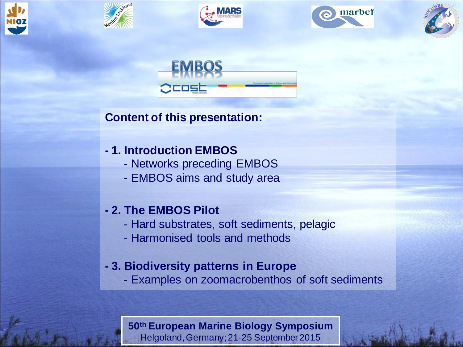











#### **Content of this presentation:**

#### **- 1. Introduction EMBOS**

- Networks preceding EMBOS
- EMBOS aims and study area

#### **- 2. The EMBOS Pilot**

- Hard substrates, soft sediments, pelagic
- Harmonised tools and methods

#### **- 3. Biodiversity patterns in Europe**

- Examples on zoomacrobenthos of soft sediments

#### **50th European Marine Biology Symposium**

Helgoland, Germany; 21-25 September 2015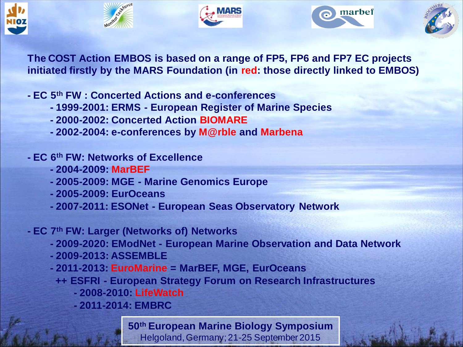









**The COST Action EMBOS is based on a range of FP5, FP6 and FP7 EC projects initiated firstly by the MARS Foundation (in red: those directly linked to EMBOS)**

**- EC 5th FW : Concerted Actions and e-conferences**

- **- 1999-2001: ERMS - European Register of Marine Species**
- **- 2000-2002: Concerted Action BIOMARE**
- **- 2002-2004: e-conferences by M@rble and Marbena**
- **- EC 6th FW: Networks of Excellence**
	- **- 2004-2009: MarBEF**
	- **- 2005-2009: MGE - Marine Genomics Europe**
	- **- 2005-2009: EurOceans**
	- **- 2007-2011: ESONet - European Seas Observatory Network**

**- EC 7th FW: Larger (Networks of) Networks**

- **- 2009-2020: EModNet - European Marine Observation and Data Network**
- **- 2009-2013: ASSEMBLE**
- **- 2011-2013: EuroMarine = MarBEF, MGE, EurOceans**
	- **++ ESFRI - European Strategy Forum on Research Infrastructures**
		- **- 2008-2010: LifeWatch**
		- **- 2011-2014: EMBRC**

**50th European Marine Biology Symposium**

Helgoland, Germany; 21-25 September 2015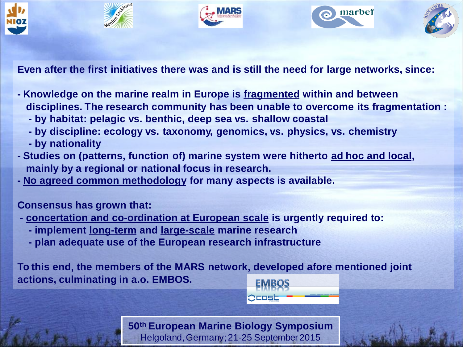

**Even after the first initiatives there was and is still the need for large networks, since:**

- **- Knowledge on the marine realm in Europe is fragmented within and between disciplines. The research community has been unable to overcome its fragmentation :**
	- **- by habitat: pelagic vs. benthic, deep sea vs. shallow coastal**
	- **- by discipline: ecology vs. taxonomy, genomics, vs. physics, vs. chemistry**
	- **- by nationality**
- **- Studies on (patterns, function of) marine system were hitherto ad hoc and local, mainly by a regional or national focus in research.**
- **- No agreed common methodology for many aspects is available.**

**Consensus has grown that:**

- **- concertation and co-ordination at European scale is urgently required to:**
	- **- implement long-term and large-scale marine research**
	- **- plan adequate use of the European research infrastructure**

**To this end, the members of the MARS network, developed afore mentioned joint actions, culminating in a.o. EMBOS.**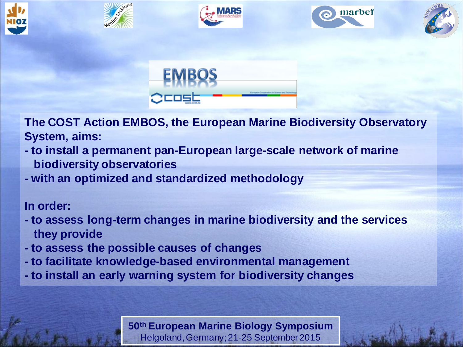











**The COST Action EMBOS, the European Marine Biodiversity Observatory System, aims:**

- **- to install a permanent pan-European large-scale network of marine biodiversity observatories**
- **- with an optimized and standardized methodology**

#### **In order:**

- **- to assess long-term changes in marine biodiversity and the services they provide**
- **- to assess the possible causes of changes**
- **- to facilitate knowledge-based environmental management**
- **- to install an early warning system for biodiversity changes**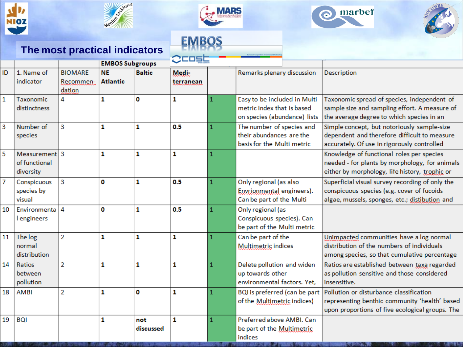



**The most practical indicators**



## **EMBOS**





|                |                                             |                                       |                              |                  | حاطاحات            |   |                                                                                            |                                                                                                                                                 |
|----------------|---------------------------------------------|---------------------------------------|------------------------------|------------------|--------------------|---|--------------------------------------------------------------------------------------------|-------------------------------------------------------------------------------------------------------------------------------------------------|
|                |                                             |                                       | <b>EMBOS Subgroups</b>       |                  |                    |   |                                                                                            |                                                                                                                                                 |
| ID             | 1. Name of<br>indicator                     | <b>BIOMARE</b><br>Recommen-<br>dation | <b>NE</b><br><b>Atlantic</b> | <b>Baltic</b>    | Medi-<br>terranean |   | Remarks plenary discussion                                                                 | Description                                                                                                                                     |
| $\mathbf 1$    | Taxonomic<br>distinctness                   | 4                                     | $\mathbf{1}$                 | 0                | 1                  |   | Easy to be included in Multi<br>metric index that is based<br>on species (abundance) lists | Taxonomic spread of species, independent of<br>sample size and sampling effort. A measure of<br>the average degree to which species in an       |
| $\overline{3}$ | Number of<br>species                        | 3                                     | 1                            | 1                | 0.5                |   | The number of species and<br>their abundances are the<br>basis for the Multi metric        | Simple concept, but notoriously sample-size<br>dependent and therefore difficult to measure<br>accurately. Of use in rigorously controlled      |
| 5              | Measurement 3<br>of functional<br>diversity |                                       | $\mathbf{1}$                 | 1                | 1                  |   |                                                                                            | Knowledge of functional roles per species<br>needed - for plants by morphology, for animals<br>either by morphology, life history, trophic or   |
| $\overline{7}$ | Conspicuous<br>species by<br>visual         | 3                                     | O                            | 1                | 0.5                | 1 | Only regional (as also<br>Envrionmental engineers).<br>Can be part of the Multi            | Superficial visual survey recording of only the<br>conspicuous species (e.g. cover of fucoids<br>algae, mussels, sponges, etc.; distibution and |
| 10             | Environmenta 4<br><b>l</b> engineers        |                                       | O                            | 1                | 0.5                |   | Only regional (as<br>Conspicuous species). Can<br>be part of the Multi metric              |                                                                                                                                                 |
| 11             | The log<br>normal<br>distribution           | $\overline{2}$                        | $\mathbf{1}$                 | 1                | 1                  |   | Can be part of the<br>Multimetric indices                                                  | Unimpacted communities have a log normal<br>distribution of the numbers of individuals<br>among species, so that cumulative percentage          |
| 14             | Ratios<br><b>between</b><br>pollution       | $\overline{2}$                        | 1                            | 1                | 1                  |   | Delete pollution and widen<br>up towards other<br>environmental factors. Yet.              | Ratios are established between taxa regarded<br>as pollution sensitive and those considered<br>insensitive.                                     |
| 18             | <b>AMBI</b>                                 | $\overline{2}$                        | 1                            | 0                | 1                  | 1 | BQI is preferred (can be part<br>of the Multimetric indices)                               | Pollution or disturbance classification<br>representing benthic community 'health' based<br>upon proportions of five ecological groups. The     |
| 19             | <b>BQI</b>                                  |                                       | 1                            | not<br>discussed | 1                  |   | Preferred above AMBI, Can<br>be part of the Multimetric<br>indices                         |                                                                                                                                                 |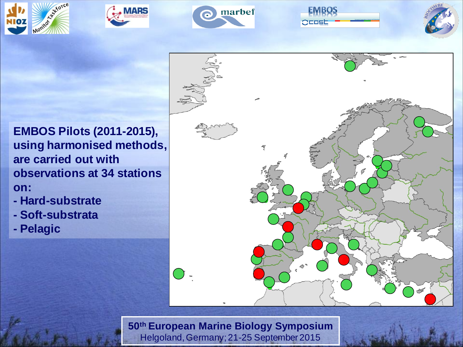









**EMBOS Pilots (2011-2015), using harmonised methods, are carried out with observations at 34 stations on:**

- **- Hard-substrate**
- **- Soft-substrata**
- **- Pelagic**

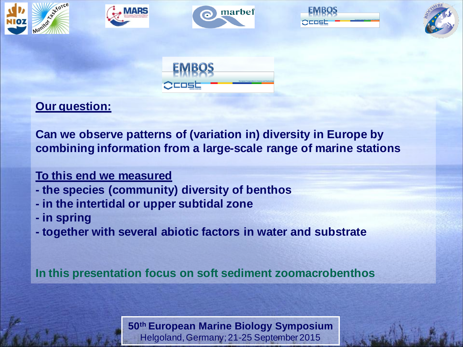











#### **Our question:**

**Can we observe patterns of (variation in) diversity in Europe by combining information from a large-scale range of marine stations**

#### **To this end we measured**

- **- the species (community) diversity of benthos**
- **- in the intertidal or upper subtidal zone**
- **- in spring**
- **- together with several abiotic factors in water and substrate**

**In this presentation focus on soft sediment zoomacrobenthos**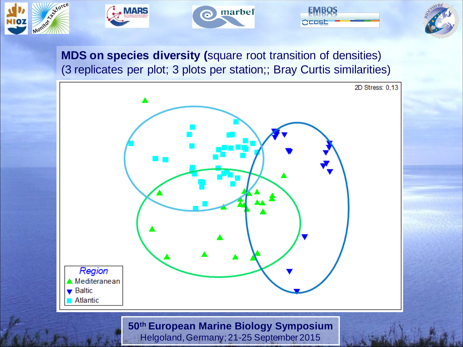









**MDS on species diversity (**square root transition of densities) (3 replicates per plot; 3 plots per station;; Bray Curtis similarities)

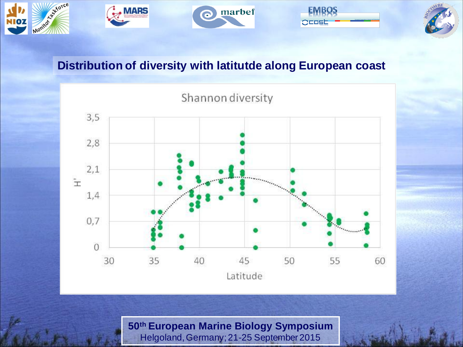

#### **Distribution of diversity with latitutde along European coast**

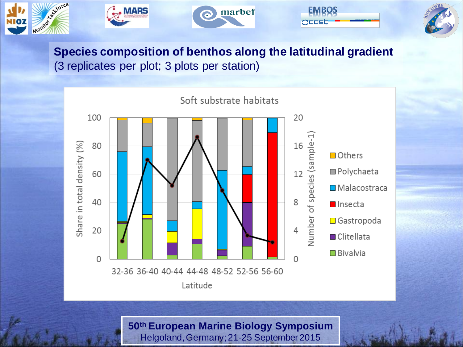

#### **Species composition of benthos along the latitudinal gradient** (3 replicates per plot; 3 plots per station)

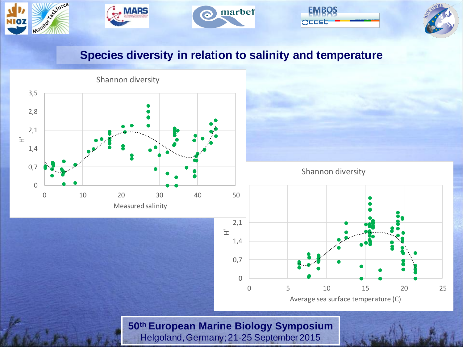







#### **Species diversity in relation to salinity and temperature**

marbef

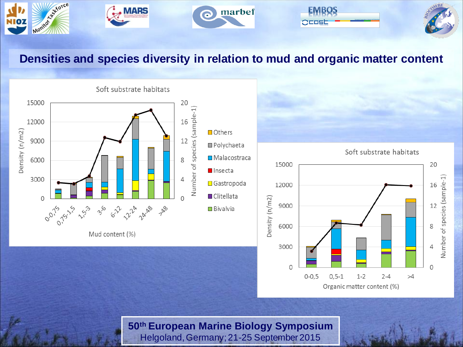

#### **Densities and species diversity in relation to mud and organic matter content**



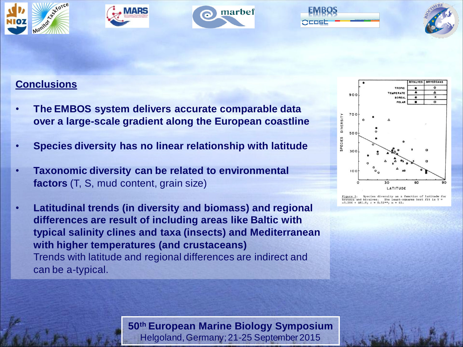









#### **Conclusions**

- **The EMBOS system delivers accurate comparable data over a large-scale gradient along the European coastline**
- **Species diversity has no linear relationship with latitude**
- **Taxonomic diversity can be related to environmental factors** (T, S, mud content, grain size)
- **Latitudinal trends (in diversity and biomass) and regional differences are result of including areas like Baltic with typical salinity clines and taxa (insects) and Mediterranean with higher temperatures (and crustaceans)** Trends with latitude and regional differences are indirect and can be a-typical.